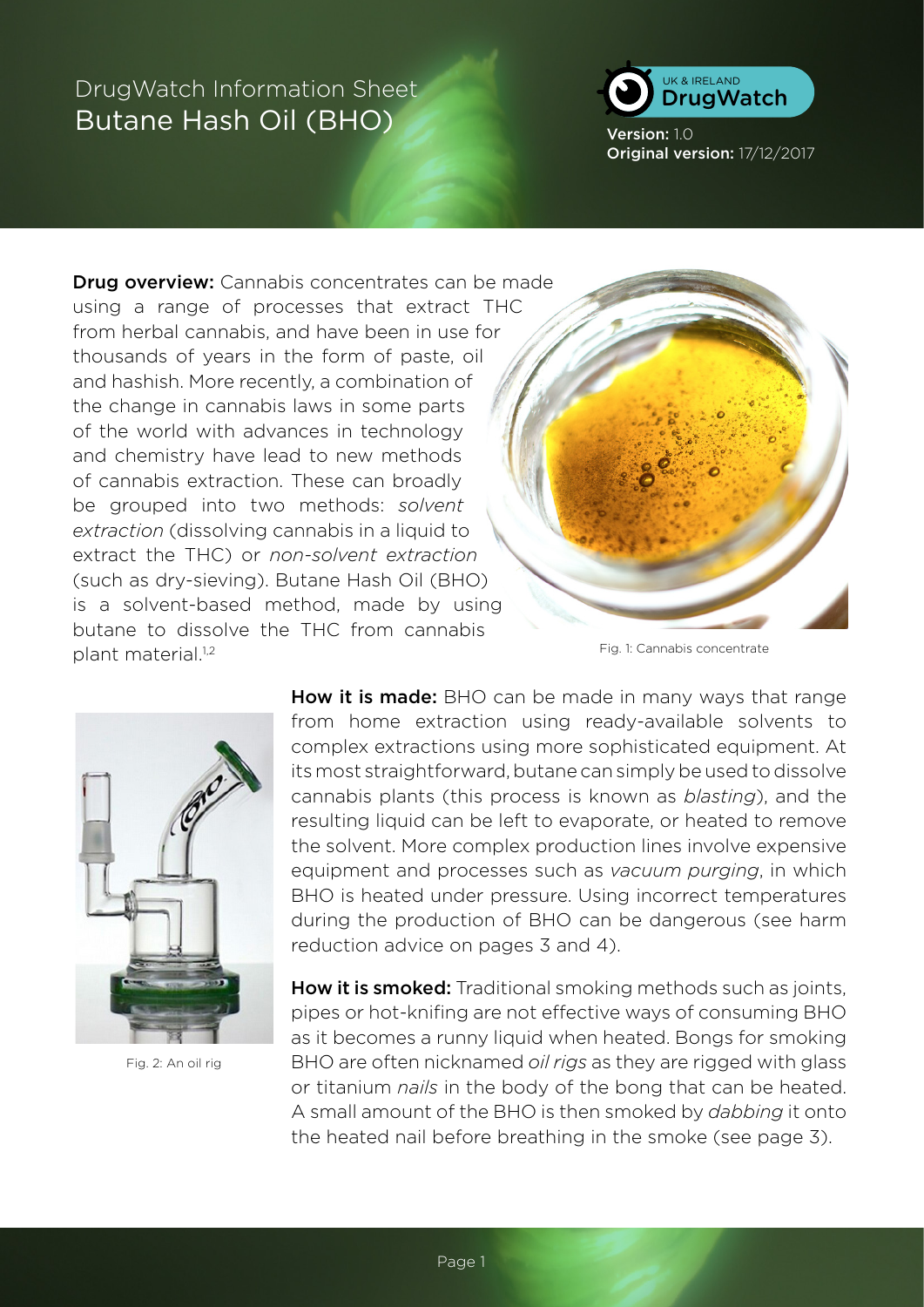

Version: 1.0 Original version: 17/12/2017

**Drug overview:** Cannabis concentrates can be made using a range of processes that extract THC from herbal cannabis, and have been in use for thousands of years in the form of paste, oil and hashish. More recently, a combination of the change in cannabis laws in some parts of the world with advances in technology and chemistry have lead to new methods of cannabis extraction. These can broadly be grouped into two methods: *solvent extraction* (dissolving cannabis in a liquid to extract the THC) or *non-solvent extraction*  (such as dry-sieving). Butane Hash Oil (BHO) is a solvent-based method, made by using butane to dissolve the THC from cannabis plant material.<sup>1,2</sup>



Fig. 1: Cannabis concentrate



Fig. 2: An oil rig

How it is made: BHO can be made in many ways that range from home extraction using ready-available solvents to complex extractions using more sophisticated equipment. At its most straightforward, butane can simply be used to dissolve cannabis plants (this process is known as *blasting*), and the resulting liquid can be left to evaporate, or heated to remove the solvent. More complex production lines involve expensive equipment and processes such as *vacuum purging*, in which BHO is heated under pressure. Using incorrect temperatures during the production of BHO can be dangerous (see harm reduction advice on pages 3 and 4).

How it is smoked: Traditional smoking methods such as joints, pipes or hot-knifing are not effective ways of consuming BHO as it becomes a runny liquid when heated. Bongs for smoking BHO are often nicknamed *oil rigs* as they are rigged with glass or titanium *nails* in the body of the bong that can be heated. A small amount of the BHO is then smoked by *dabbing* it onto the heated nail before breathing in the smoke (see page 3).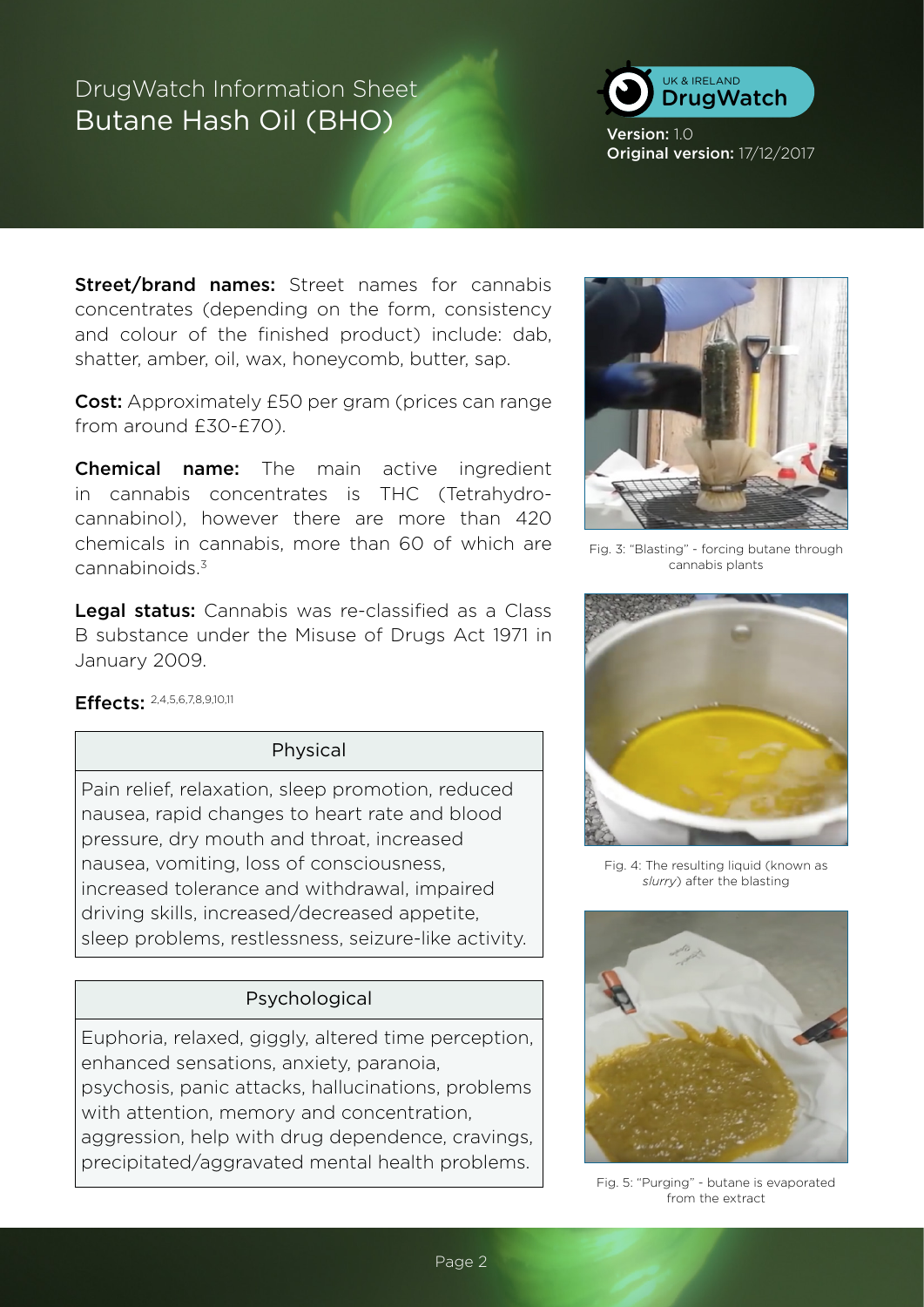

Version: 1.0 Original version: 17/12/2017

Street/brand names: Street names for cannabis concentrates (depending on the form, consistency and colour of the finished product) include: dab, shatter, amber, oil, wax, honeycomb, butter, sap.

Cost: Approximately £50 per gram (prices can range from around £30-£70).

**Chemical name:** The main active ingredient in cannabis concentrates is THC (Tetrahydrocannabinol), however there are more than 420 chemicals in cannabis, more than 60 of which are cannabinoids.3

Legal status: Cannabis was re-classified as a Class B substance under the Misuse of Drugs Act 1971 in January 2009.

### Effects: 2,4,5,6,7,8,9,10,11

### Physical

Pain relief, relaxation, sleep promotion, reduced nausea, rapid changes to heart rate and blood pressure, dry mouth and throat, increased nausea, vomiting, loss of consciousness, increased tolerance and withdrawal, impaired driving skills, increased/decreased appetite, sleep problems, restlessness, seizure-like activity.

### Psychological

Euphoria, relaxed, giggly, altered time perception, enhanced sensations, anxiety, paranoia, psychosis, panic attacks, hallucinations, problems with attention, memory and concentration, aggression, help with drug dependence, cravings, precipitated/aggravated mental health problems.



Fig. 3: "Blasting" - forcing butane through cannabis plants



Fig. 4: The resulting liquid (known as *slurry*) after the blasting



Fig. 5: "Purging" - butane is evaporated from the extract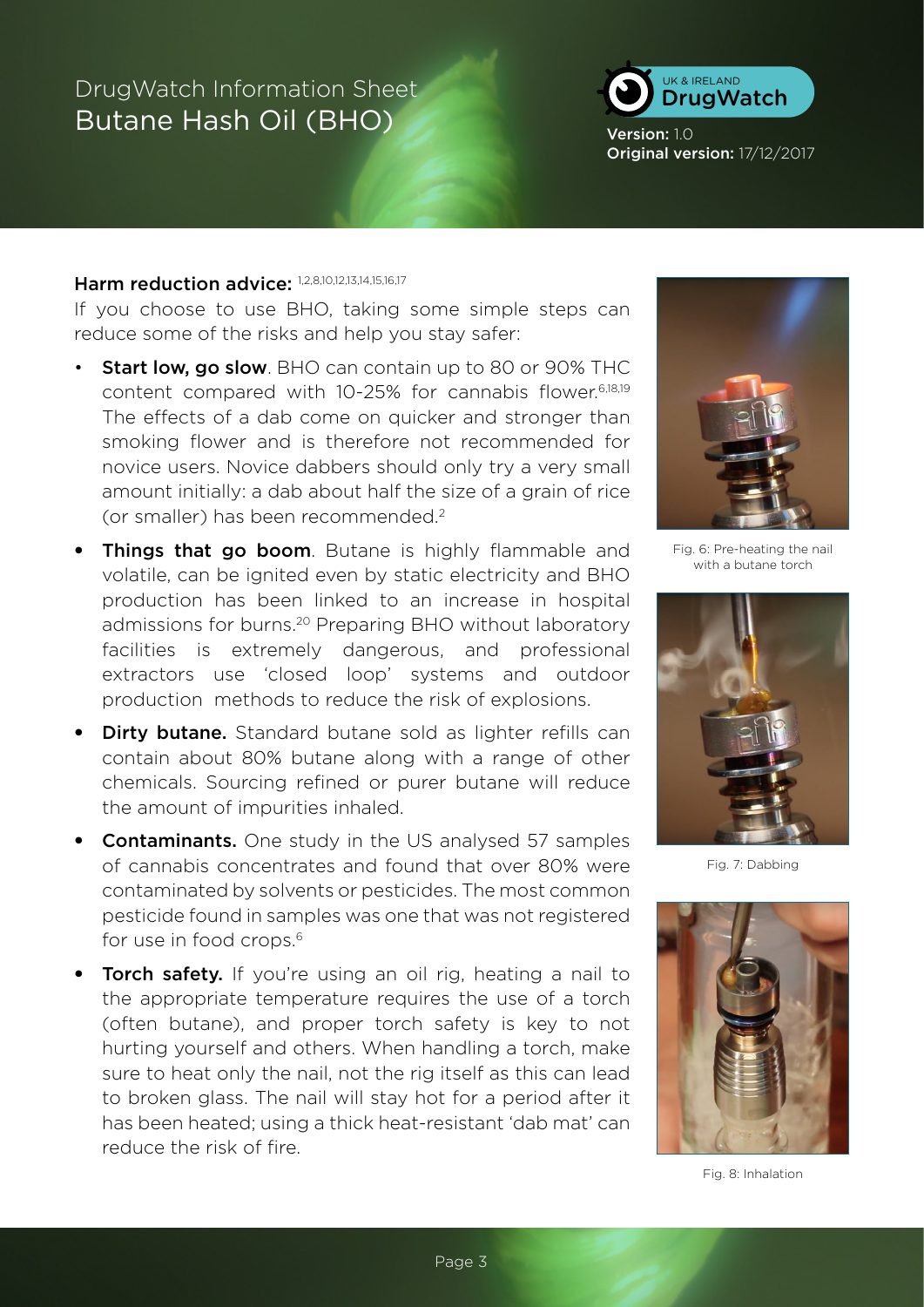

Version: 1.0 Original version: 17/12/2017

#### Harm reduction advice: 1,2,8,10,12,13,14,15,16,17

If you choose to use BHO, taking some simple steps can reduce some of the risks and help you stay safer:

- Start low, go slow. BHO can contain up to 80 or 90% THC content compared with 10-25% for cannabis flower.6,18,19 The effects of a dab come on quicker and stronger than smoking flower and is therefore not recommended for novice users. Novice dabbers should only try a very small amount initially: a dab about half the size of a grain of rice (or smaller) has been recommended.2
- Things that go boom. Butane is highly flammable and volatile, can be ignited even by static electricity and BHO production has been linked to an increase in hospital admissions for burns.<sup>20</sup> Preparing BHO without laboratory facilities is extremely dangerous, and professional extractors use 'closed loop' systems and outdoor production methods to reduce the risk of explosions.
- Dirty butane. Standard butane sold as lighter refills can contain about 80% butane along with a range of other chemicals. Sourcing refined or purer butane will reduce the amount of impurities inhaled.
- Contaminants. One study in the US analysed 57 samples of cannabis concentrates and found that over 80% were contaminated by solvents or pesticides. The most common pesticide found in samples was one that was not registered for use in food crops.<sup>6</sup>
- **Torch safety.** If you're using an oil rig, heating a nail to the appropriate temperature requires the use of a torch (often butane), and proper torch safety is key to not hurting yourself and others. When handling a torch, make sure to heat only the nail, not the rig itself as this can lead to broken glass. The nail will stay hot for a period after it has been heated; using a thick heat-resistant 'dab mat' can reduce the risk of fire.



Fig. 6: Pre-heating the nail with a butane torch



Fig. 7: Dabbing



Fig. 8: Inhalation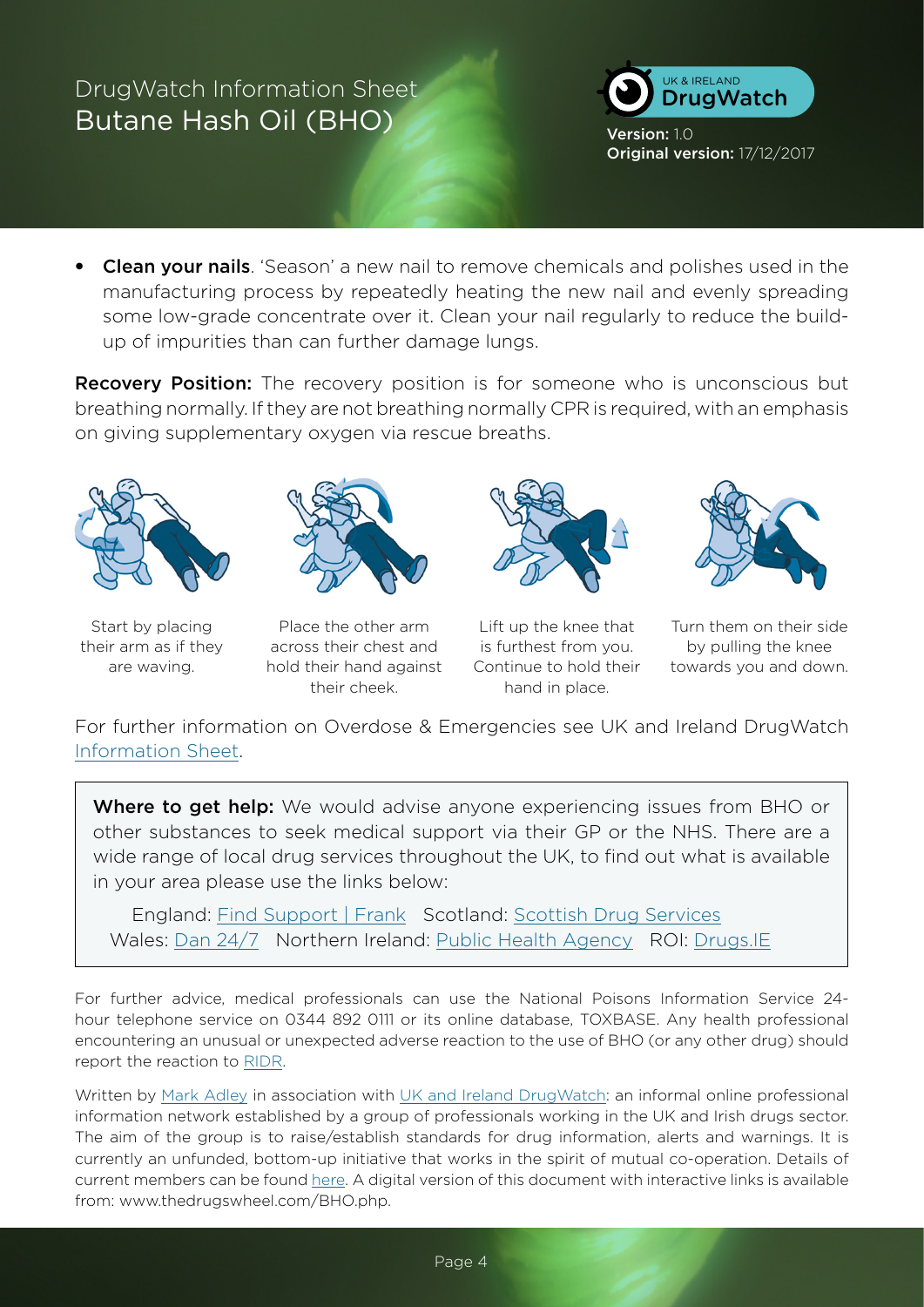

Version: 1.0 Original version: 17/12/2017

• Clean your nails. 'Season' a new nail to remove chemicals and polishes used in the manufacturing process by repeatedly heating the new nail and evenly spreading some low-grade concentrate over it. Clean your nail regularly to reduce the buildup of impurities than can further damage lungs.

**Recovery Position:** The recovery position is for someone who is unconscious but breathing normally. If they are not breathing normally CPR is required, with an emphasis on giving supplementary oxygen via rescue breaths.



Start by placing their arm as if they are waving.



Place the other arm across their chest and hold their hand against their cheek.



Lift up the knee that is furthest from you. Continue to hold their hand in place.



Turn them on their side by pulling the knee towards you and down.

For further information on Overdose & Emergencies see UK and Ireland DrugWatch [Information Sheet](http://www.thedrugswheel.com/resources/DrugWatchOD_Emergency_1_1.pdf).

Where to get help: We would advise anyone experiencing issues from BHO or other substances to seek medical support via their GP or the NHS. There are a wide range of local drug services throughout the UK, to find out what is available in your area please use the links below:

 England: Find Support | Frank Scotland: [Scottish Drug Services](http://www.scottishdrugservices.com) Wales: [Dan 24/7](http://dan247.org.uk) Northern Ireland: [Public Health Agency](http://www.publichealth.hscni.net) ROI: [Drugs.IE](http://www.drugs.ie)

For further advice, medical professionals can use the National Poisons Information Service 24 hour telephone service on 0344 892 0111 or its online database, TOXBASE. Any health professional encountering an unusual or unexpected adverse reaction to the use of BHO (or any other drug) should report the reaction to [RIDR](https://report-illicit-drug-reaction.phe.gov.uk).

Written by [Mark Adley](http://www.thedrugswheel.com) in association with [UK and Ireland DrugWatch:](http://michaellinnell.org.uk/drugwatch.html) an informal online professional information network established by a group of professionals working in the UK and Irish drugs sector. The aim of the group is to raise/establish standards for drug information, alerts and warnings. It is currently an unfunded, bottom-up initiative that works in the spirit of mutual co-operation. Details of current members can be found [here](http://thedrugswheel.com/drugwatch.php). A digital version of this document with interactive links is available from: www.thedrugswheel.com/BHO.php.